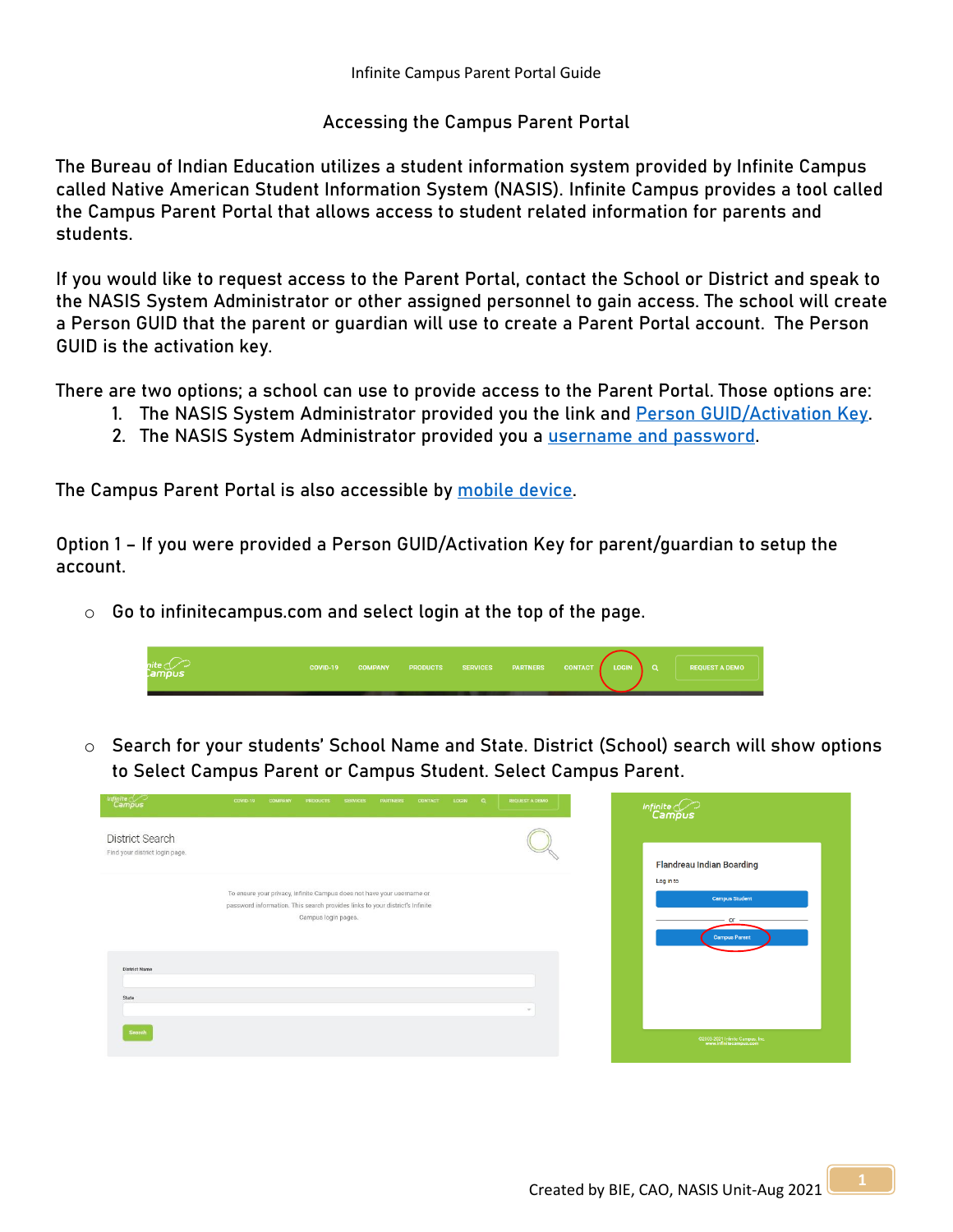## **Accessing the Campus Parent Portal**

The Bureau of Indian Education utilizes a student information system provided by Infinite Campus called Native American Student Information System (NASIS). Infinite Campus provides a tool called the Campus Parent Portal that allows access to student related information for parents and students.

If you would like to request access to the Parent Portal, contact the School or District and speak to the NASIS System Administrator or other assigned personnel to gain access. The school will create a Person GUID that the parent or guardian will use to create a Parent Portal account. The Person GUID is the activation key.

There are two options; a school can use to provide access to the Parent Portal. Those options are:

- 1. **The NASIS System Administrator provided you the link and [Person GUID/Activation Key.](#page-0-0)**
- **2. The NASIS System Administrator provided you a [username and password.](#page-1-0)**

The Campus Parent Portal is also accessible by [mobile device.](#page-2-0)

<span id="page-0-0"></span>**Option 1 – If you were provided a Person GUID/Activation Key for parent/guardian to setup the account.** 

 $\circ$  Go to infinitecampus.com and select login at the top of the page.



o Search for your students' School Name and State. District (School) search will show options to Select Campus Parent or Campus Student. Select Campus Parent.

| Infinite<br>Campus                                | COVID-19<br><b>COMPANY</b><br>LOGIN Q<br><b>PRODUCTS</b><br><b>SERVICES</b><br><b>PARTNERS</b><br>CONTACT                                                                     | <b>REQUEST A DEMO</b> |
|---------------------------------------------------|-------------------------------------------------------------------------------------------------------------------------------------------------------------------------------|-----------------------|
| District Search<br>Find your district login page. |                                                                                                                                                                               |                       |
|                                                   | To ensure your privacy, Infinite Campus does not have your username or<br>password information. This search provides links to your district's Infinite<br>Campus login pages. |                       |
| <b>District Name</b><br>State                     |                                                                                                                                                                               |                       |
| Search                                            |                                                                                                                                                                               | $\sim$                |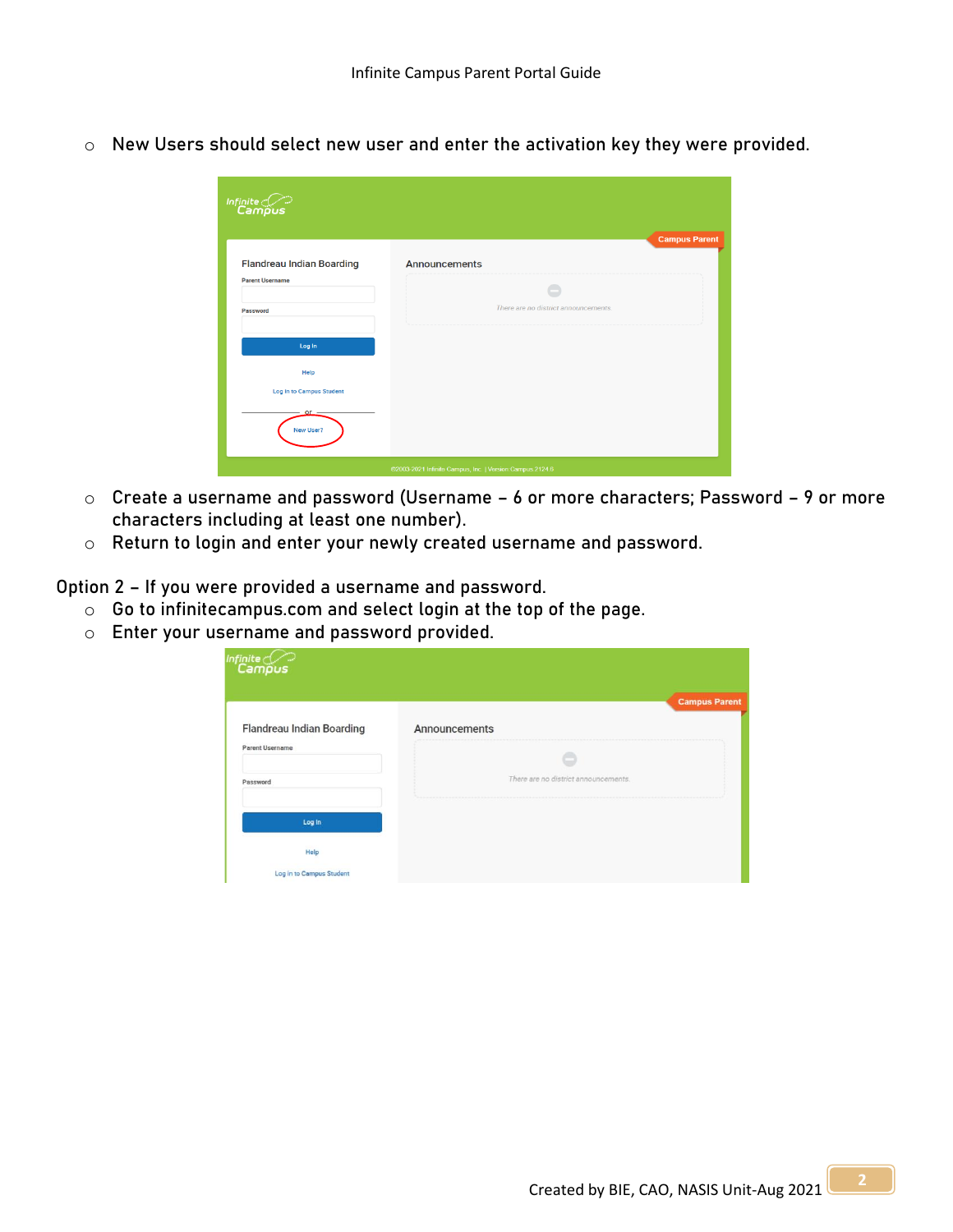o New Users should select new user and enter the activation key they were provided.

| $\overbrace{\mathsf{Infinite}}^{\mathsf{Infinite}}$      | <b>Campus Parent</b>                 |  |  |  |  |
|----------------------------------------------------------|--------------------------------------|--|--|--|--|
| <b>Flandreau Indian Boarding</b>                         | <b>Announcements</b>                 |  |  |  |  |
| <b>Parent Username</b>                                   |                                      |  |  |  |  |
| Password                                                 | There are no district announcements. |  |  |  |  |
| Log In                                                   |                                      |  |  |  |  |
| Help                                                     |                                      |  |  |  |  |
| Log in to Campus Student                                 |                                      |  |  |  |  |
| or<br>New User?                                          |                                      |  |  |  |  |
| @2003-2021 Infinite Campus, Inc.   Version:Campus.2124.6 |                                      |  |  |  |  |

- o Create a username and password (Username 6 or more characters; Password 9 or more characters including at least one number).
- o Return to login and enter your newly created username and password.

<span id="page-1-0"></span>**Option 2 – If you were provided a username and password.**

- o Go to infinitecampus.com and select login at the top of the page.
- o Enter your username and password provided.

| Infinite<br><b>Campus</b>                           |                                      | <b>Campus Parent</b> |
|-----------------------------------------------------|--------------------------------------|----------------------|
| <b>Flandreau Indian Boarding</b><br>Parent Username | Announcements                        |                      |
| Password                                            | There are no district announcements. |                      |
| Log In                                              |                                      |                      |
| Help                                                |                                      |                      |
| Log in to Campus Student                            |                                      |                      |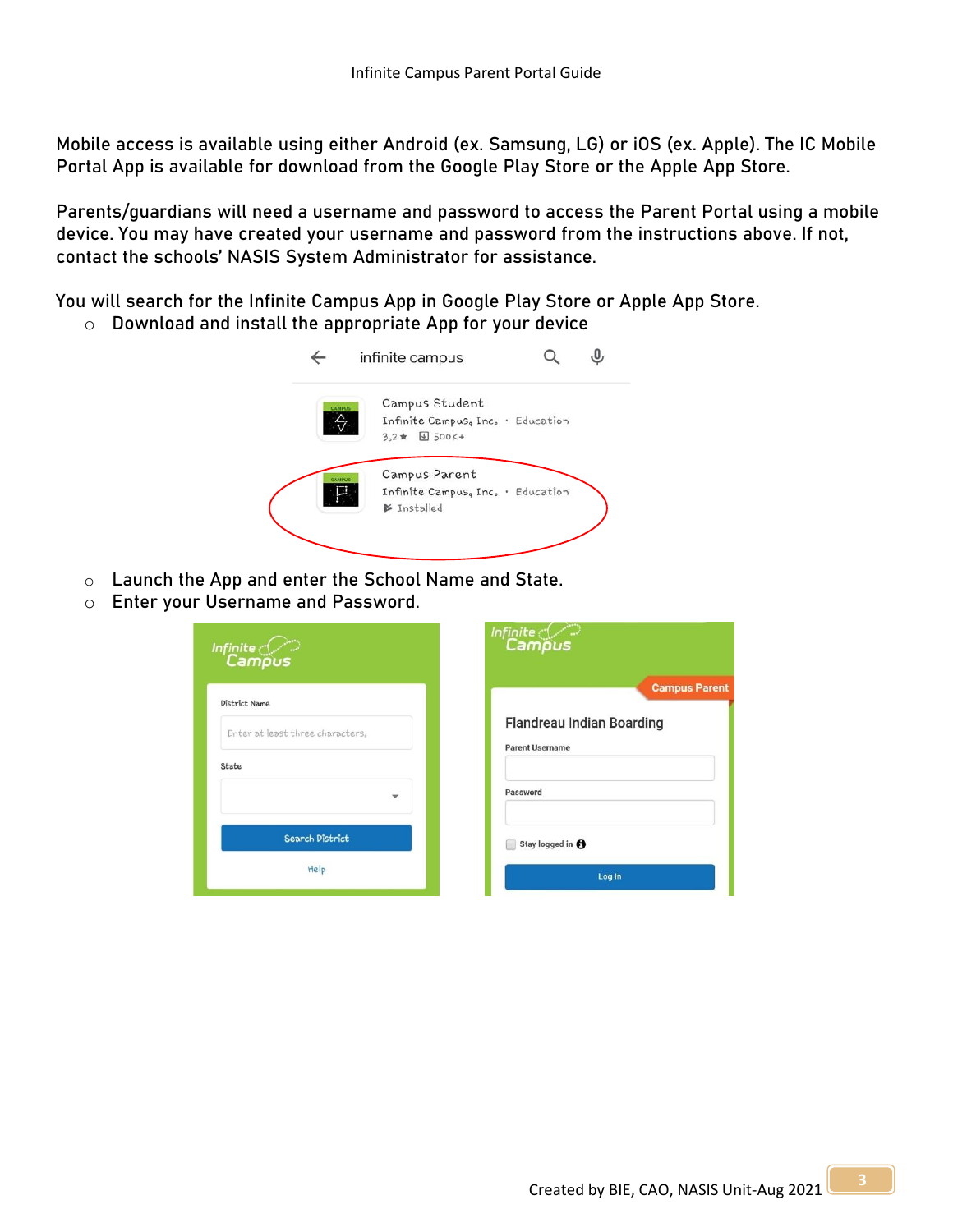<span id="page-2-0"></span>**Mobile access is available** using either Android (ex. Samsung, LG) or iOS (ex. Apple). The IC Mobile Portal App is available for download from the Google Play Store or the Apple App Store.

Parents/guardians will need a username and password to access the Parent Portal using a mobile device. You may have created your username and password from the instructions above. If not, contact the schools' NASIS System Administrator for assistance.

You will search for the Infinite Campus App in Google Play Store or Apple App Store.

o Download and install the appropriate App for your device



- o Launch the App and enter the School Name and State.
- o Enter your Username and Password.

| Infinite $\ll$<br>Campus         | Infinite $\subset \subset$<br>Campus                       |
|----------------------------------|------------------------------------------------------------|
| District Name                    | <b>Campus Parent</b>                                       |
| Enter at least three characters. | <b>Flandreau Indian Boarding</b><br><b>Parent Username</b> |
| State                            |                                                            |
| ÷                                | Password                                                   |
| Search District                  | Stay logged in @<br>۰                                      |
| Help                             | Log In                                                     |